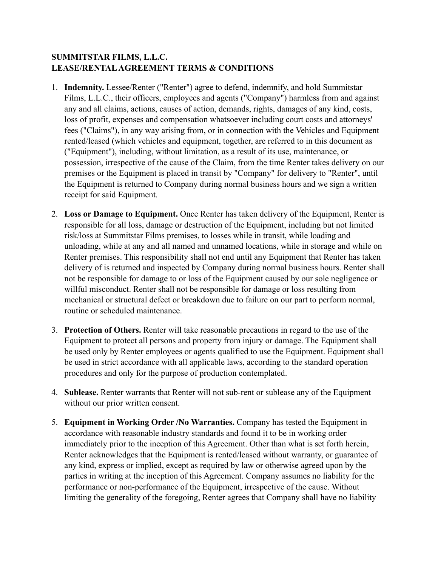## **SUMMITSTAR FILMS, L.L.C. LEASE/RENTAL AGREEMENT TERMS & CONDITIONS**

- 1. **Indemnity.** Lessee/Renter ("Renter") agree to defend, indemnify, and hold Summitstar Films, L.L.C., their officers, employees and agents ("Company") harmless from and against any and all claims, actions, causes of action, demands, rights, damages of any kind, costs, loss of profit, expenses and compensation whatsoever including court costs and attorneys' fees ("Claims"), in any way arising from, or in connection with the Vehicles and Equipment rented/leased (which vehicles and equipment, together, are referred to in this document as ("Equipment"), including, without limitation, as a result of its use, maintenance, or possession, irrespective of the cause of the Claim, from the time Renter takes delivery on our premises or the Equipment is placed in transit by "Company" for delivery to "Renter", until the Equipment is returned to Company during normal business hours and we sign a written receipt for said Equipment.
- 2. **Loss or Damage to Equipment.** Once Renter has taken delivery of the Equipment, Renter is responsible for all loss, damage or destruction of the Equipment, including but not limited risk/loss at Summitstar Films premises, to losses while in transit, while loading and unloading, while at any and all named and unnamed locations, while in storage and while on Renter premises. This responsibility shall not end until any Equipment that Renter has taken delivery of is returned and inspected by Company during normal business hours. Renter shall not be responsible for damage to or loss of the Equipment caused by our sole negligence or willful misconduct. Renter shall not be responsible for damage or loss resulting from mechanical or structural defect or breakdown due to failure on our part to perform normal, routine or scheduled maintenance.
- 3. **Protection of Others.** Renter will take reasonable precautions in regard to the use of the Equipment to protect all persons and property from injury or damage. The Equipment shall be used only by Renter employees or agents qualified to use the Equipment. Equipment shall be used in strict accordance with all applicable laws, according to the standard operation procedures and only for the purpose of production contemplated.
- 4. **Sublease.** Renter warrants that Renter will not sub-rent or sublease any of the Equipment without our prior written consent.
- 5. **Equipment in Working Order /No Warranties.** Company has tested the Equipment in accordance with reasonable industry standards and found it to be in working order immediately prior to the inception of this Agreement. Other than what is set forth herein, Renter acknowledges that the Equipment is rented/leased without warranty, or guarantee of any kind, express or implied, except as required by law or otherwise agreed upon by the parties in writing at the inception of this Agreement. Company assumes no liability for the performance or non-performance of the Equipment, irrespective of the cause. Without limiting the generality of the foregoing, Renter agrees that Company shall have no liability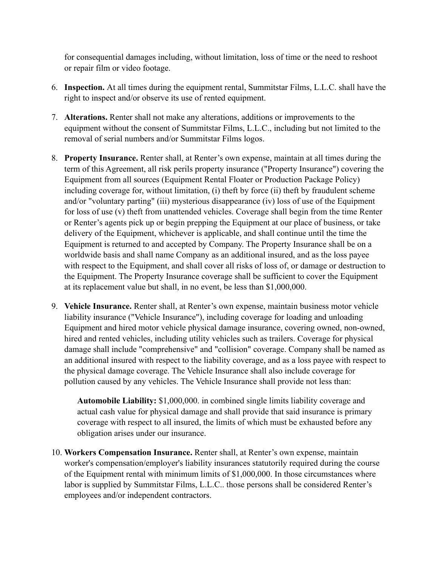for consequential damages including, without limitation, loss of time or the need to reshoot or repair film or video footage.

- 6. **Inspection.** At all times during the equipment rental, Summitstar Films, L.L.C. shall have the right to inspect and/or observe its use of rented equipment.
- 7. **Alterations.** Renter shall not make any alterations, additions or improvements to the equipment without the consent of Summitstar Films, L.L.C., including but not limited to the removal of serial numbers and/or Summitstar Films logos.
- 8. **Property Insurance.** Renter shall, at Renter's own expense, maintain at all times during the term of this Agreement, all risk perils property insurance ("Property Insurance") covering the Equipment from all sources (Equipment Rental Floater or Production Package Policy) including coverage for, without limitation, (i) theft by force (ii) theft by fraudulent scheme and/or "voluntary parting" (iii) mysterious disappearance (iv) loss of use of the Equipment for loss of use (v) theft from unattended vehicles. Coverage shall begin from the time Renter or Renter's agents pick up or begin prepping the Equipment at our place of business, or take delivery of the Equipment, whichever is applicable, and shall continue until the time the Equipment is returned to and accepted by Company. The Property Insurance shall be on a worldwide basis and shall name Company as an additional insured, and as the loss payee with respect to the Equipment, and shall cover all risks of loss of, or damage or destruction to the Equipment. The Property Insurance coverage shall be sufficient to cover the Equipment at its replacement value but shall, in no event, be less than \$1,000,000.
- 9. **Vehicle Insurance.** Renter shall, at Renter's own expense, maintain business motor vehicle liability insurance ("Vehicle Insurance"), including coverage for loading and unloading Equipment and hired motor vehicle physical damage insurance, covering owned, non-owned, hired and rented vehicles, including utility vehicles such as trailers. Coverage for physical damage shall include "comprehensive" and "collision" coverage. Company shall be named as an additional insured with respect to the liability coverage, and as a loss payee with respect to the physical damage coverage. The Vehicle Insurance shall also include coverage for pollution caused by any vehicles. The Vehicle Insurance shall provide not less than:

**Automobile Liability:** \$1,000,000. in combined single limits liability coverage and actual cash value for physical damage and shall provide that said insurance is primary coverage with respect to all insured, the limits of which must be exhausted before any obligation arises under our insurance.

10. **Workers Compensation Insurance.** Renter shall, at Renter's own expense, maintain worker's compensation/employer's liability insurances statutorily required during the course of the Equipment rental with minimum limits of \$1,000,000. In those circumstances where labor is supplied by Summitstar Films, L.L.C.. those persons shall be considered Renter's employees and/or independent contractors.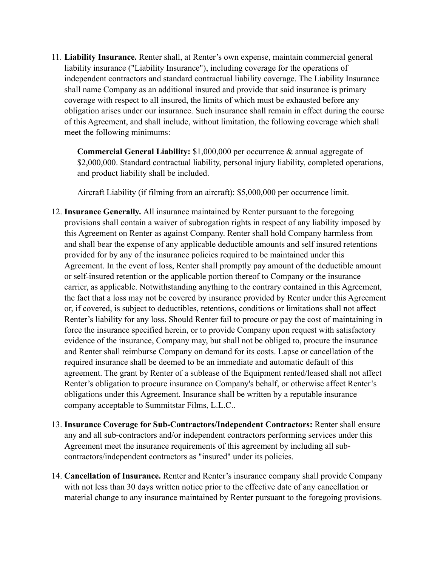11. **Liability Insurance.** Renter shall, at Renter's own expense, maintain commercial general liability insurance ("Liability Insurance"), including coverage for the operations of independent contractors and standard contractual liability coverage. The Liability Insurance shall name Company as an additional insured and provide that said insurance is primary coverage with respect to all insured, the limits of which must be exhausted before any obligation arises under our insurance. Such insurance shall remain in effect during the course of this Agreement, and shall include, without limitation, the following coverage which shall meet the following minimums:

**Commercial General Liability:** \$1,000,000 per occurrence & annual aggregate of \$2,000,000. Standard contractual liability, personal injury liability, completed operations, and product liability shall be included.

Aircraft Liability (if filming from an aircraft): \$5,000,000 per occurrence limit.

- 12. **Insurance Generally.** All insurance maintained by Renter pursuant to the foregoing provisions shall contain a waiver of subrogation rights in respect of any liability imposed by this Agreement on Renter as against Company. Renter shall hold Company harmless from and shall bear the expense of any applicable deductible amounts and self insured retentions provided for by any of the insurance policies required to be maintained under this Agreement. In the event of loss, Renter shall promptly pay amount of the deductible amount or self-insured retention or the applicable portion thereof to Company or the insurance carrier, as applicable. Notwithstanding anything to the contrary contained in this Agreement, the fact that a loss may not be covered by insurance provided by Renter under this Agreement or, if covered, is subject to deductibles, retentions, conditions or limitations shall not affect Renter's liability for any loss. Should Renter fail to procure or pay the cost of maintaining in force the insurance specified herein, or to provide Company upon request with satisfactory evidence of the insurance, Company may, but shall not be obliged to, procure the insurance and Renter shall reimburse Company on demand for its costs. Lapse or cancellation of the required insurance shall be deemed to be an immediate and automatic default of this agreement. The grant by Renter of a sublease of the Equipment rented/leased shall not affect Renter's obligation to procure insurance on Company's behalf, or otherwise affect Renter's obligations under this Agreement. Insurance shall be written by a reputable insurance company acceptable to Summitstar Films, L.L.C..
- 13. **Insurance Coverage for Sub-Contractors/Independent Contractors:** Renter shall ensure any and all sub-contractors and/or independent contractors performing services under this Agreement meet the insurance requirements of this agreement by including all subcontractors/independent contractors as "insured" under its policies.
- 14. **Cancellation of Insurance.** Renter and Renter's insurance company shall provide Company with not less than 30 days written notice prior to the effective date of any cancellation or material change to any insurance maintained by Renter pursuant to the foregoing provisions.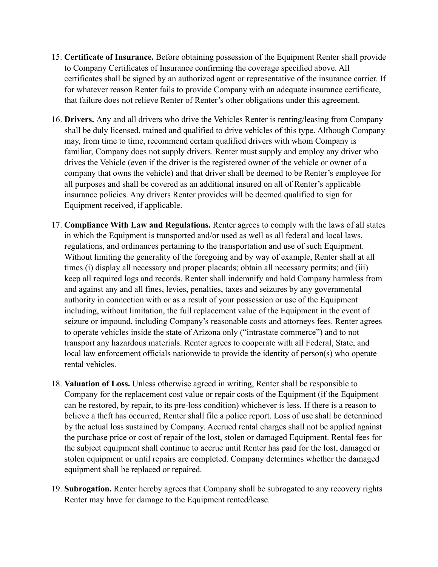- 15. **Certificate of Insurance.** Before obtaining possession of the Equipment Renter shall provide to Company Certificates of Insurance confirming the coverage specified above. All certificates shall be signed by an authorized agent or representative of the insurance carrier. If for whatever reason Renter fails to provide Company with an adequate insurance certificate, that failure does not relieve Renter of Renter's other obligations under this agreement.
- 16. **Drivers.** Any and all drivers who drive the Vehicles Renter is renting/leasing from Company shall be duly licensed, trained and qualified to drive vehicles of this type. Although Company may, from time to time, recommend certain qualified drivers with whom Company is familiar, Company does not supply drivers. Renter must supply and employ any driver who drives the Vehicle (even if the driver is the registered owner of the vehicle or owner of a company that owns the vehicle) and that driver shall be deemed to be Renter's employee for all purposes and shall be covered as an additional insured on all of Renter's applicable insurance policies. Any drivers Renter provides will be deemed qualified to sign for Equipment received, if applicable.
- 17. **Compliance With Law and Regulations.** Renter agrees to comply with the laws of all states in which the Equipment is transported and/or used as well as all federal and local laws, regulations, and ordinances pertaining to the transportation and use of such Equipment. Without limiting the generality of the foregoing and by way of example, Renter shall at all times (i) display all necessary and proper placards; obtain all necessary permits; and (iii) keep all required logs and records. Renter shall indemnify and hold Company harmless from and against any and all fines, levies, penalties, taxes and seizures by any governmental authority in connection with or as a result of your possession or use of the Equipment including, without limitation, the full replacement value of the Equipment in the event of seizure or impound, including Company's reasonable costs and attorneys fees. Renter agrees to operate vehicles inside the state of Arizona only ("intrastate commerce") and to not transport any hazardous materials. Renter agrees to cooperate with all Federal, State, and local law enforcement officials nationwide to provide the identity of person(s) who operate rental vehicles.
- 18. **Valuation of Loss.** Unless otherwise agreed in writing, Renter shall be responsible to Company for the replacement cost value or repair costs of the Equipment (if the Equipment can be restored, by repair, to its pre-loss condition) whichever is less. If there is a reason to believe a theft has occurred, Renter shall file a police report. Loss of use shall be determined by the actual loss sustained by Company. Accrued rental charges shall not be applied against the purchase price or cost of repair of the lost, stolen or damaged Equipment. Rental fees for the subject equipment shall continue to accrue until Renter has paid for the lost, damaged or stolen equipment or until repairs are completed. Company determines whether the damaged equipment shall be replaced or repaired.
- 19. **Subrogation.** Renter hereby agrees that Company shall be subrogated to any recovery rights Renter may have for damage to the Equipment rented/lease.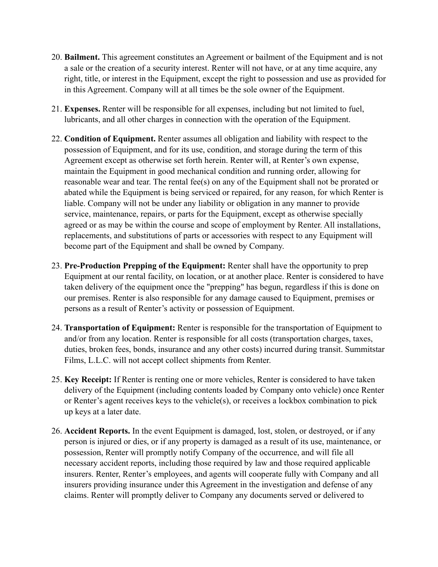- 20. **Bailment.** This agreement constitutes an Agreement or bailment of the Equipment and is not a sale or the creation of a security interest. Renter will not have, or at any time acquire, any right, title, or interest in the Equipment, except the right to possession and use as provided for in this Agreement. Company will at all times be the sole owner of the Equipment.
- 21. **Expenses.** Renter will be responsible for all expenses, including but not limited to fuel, lubricants, and all other charges in connection with the operation of the Equipment.
- 22. **Condition of Equipment.** Renter assumes all obligation and liability with respect to the possession of Equipment, and for its use, condition, and storage during the term of this Agreement except as otherwise set forth herein. Renter will, at Renter's own expense, maintain the Equipment in good mechanical condition and running order, allowing for reasonable wear and tear. The rental fee(s) on any of the Equipment shall not be prorated or abated while the Equipment is being serviced or repaired, for any reason, for which Renter is liable. Company will not be under any liability or obligation in any manner to provide service, maintenance, repairs, or parts for the Equipment, except as otherwise specially agreed or as may be within the course and scope of employment by Renter. All installations, replacements, and substitutions of parts or accessories with respect to any Equipment will become part of the Equipment and shall be owned by Company.
- 23. **Pre-Production Prepping of the Equipment:** Renter shall have the opportunity to prep Equipment at our rental facility, on location, or at another place. Renter is considered to have taken delivery of the equipment once the "prepping" has begun, regardless if this is done on our premises. Renter is also responsible for any damage caused to Equipment, premises or persons as a result of Renter's activity or possession of Equipment.
- 24. **Transportation of Equipment:** Renter is responsible for the transportation of Equipment to and/or from any location. Renter is responsible for all costs (transportation charges, taxes, duties, broken fees, bonds, insurance and any other costs) incurred during transit. Summitstar Films, L.L.C. will not accept collect shipments from Renter.
- 25. **Key Receipt:** If Renter is renting one or more vehicles, Renter is considered to have taken delivery of the Equipment (including contents loaded by Company onto vehicle) once Renter or Renter's agent receives keys to the vehicle(s), or receives a lockbox combination to pick up keys at a later date.
- 26. **Accident Reports.** In the event Equipment is damaged, lost, stolen, or destroyed, or if any person is injured or dies, or if any property is damaged as a result of its use, maintenance, or possession, Renter will promptly notify Company of the occurrence, and will file all necessary accident reports, including those required by law and those required applicable insurers. Renter, Renter's employees, and agents will cooperate fully with Company and all insurers providing insurance under this Agreement in the investigation and defense of any claims. Renter will promptly deliver to Company any documents served or delivered to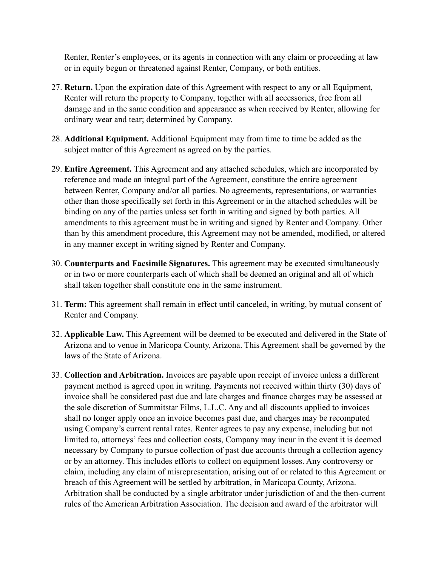Renter, Renter's employees, or its agents in connection with any claim or proceeding at law or in equity begun or threatened against Renter, Company, or both entities.

- 27. **Return.** Upon the expiration date of this Agreement with respect to any or all Equipment, Renter will return the property to Company, together with all accessories, free from all damage and in the same condition and appearance as when received by Renter, allowing for ordinary wear and tear; determined by Company.
- 28. **Additional Equipment.** Additional Equipment may from time to time be added as the subject matter of this Agreement as agreed on by the parties.
- 29. **Entire Agreement.** This Agreement and any attached schedules, which are incorporated by reference and made an integral part of the Agreement, constitute the entire agreement between Renter, Company and/or all parties. No agreements, representations, or warranties other than those specifically set forth in this Agreement or in the attached schedules will be binding on any of the parties unless set forth in writing and signed by both parties. All amendments to this agreement must be in writing and signed by Renter and Company. Other than by this amendment procedure, this Agreement may not be amended, modified, or altered in any manner except in writing signed by Renter and Company.
- 30. **Counterparts and Facsimile Signatures.** This agreement may be executed simultaneously or in two or more counterparts each of which shall be deemed an original and all of which shall taken together shall constitute one in the same instrument.
- 31. **Term:** This agreement shall remain in effect until canceled, in writing, by mutual consent of Renter and Company.
- 32. **Applicable Law.** This Agreement will be deemed to be executed and delivered in the State of Arizona and to venue in Maricopa County, Arizona. This Agreement shall be governed by the laws of the State of Arizona.
- 33. **Collection and Arbitration.** Invoices are payable upon receipt of invoice unless a different payment method is agreed upon in writing. Payments not received within thirty (30) days of invoice shall be considered past due and late charges and finance charges may be assessed at the sole discretion of Summitstar Films, L.L.C. Any and all discounts applied to invoices shall no longer apply once an invoice becomes past due, and charges may be recomputed using Company's current rental rates. Renter agrees to pay any expense, including but not limited to, attorneys' fees and collection costs, Company may incur in the event it is deemed necessary by Company to pursue collection of past due accounts through a collection agency or by an attorney. This includes efforts to collect on equipment losses. Any controversy or claim, including any claim of misrepresentation, arising out of or related to this Agreement or breach of this Agreement will be settled by arbitration, in Maricopa County, Arizona. Arbitration shall be conducted by a single arbitrator under jurisdiction of and the then-current rules of the American Arbitration Association. The decision and award of the arbitrator will